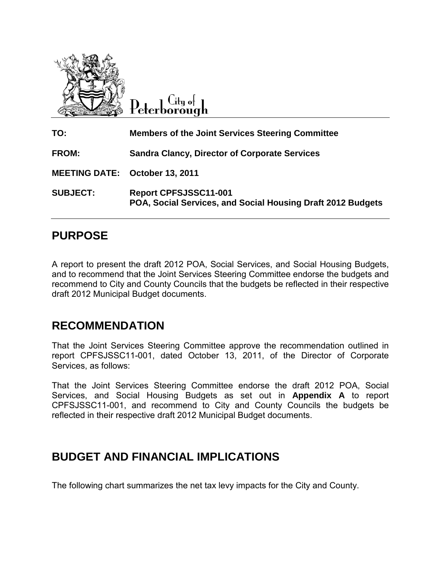

City o∤ Peterborough

| TO:             | <b>Members of the Joint Services Steering Committee</b>                                     |
|-----------------|---------------------------------------------------------------------------------------------|
| <b>FROM:</b>    | <b>Sandra Clancy, Director of Corporate Services</b>                                        |
|                 | <b>MEETING DATE: October 13, 2011</b>                                                       |
| <b>SUBJECT:</b> | <b>Report CPFSJSSC11-001</b><br>POA, Social Services, and Social Housing Draft 2012 Budgets |

### **PURPOSE**

A report to present the draft 2012 POA, Social Services, and Social Housing Budgets, and to recommend that the Joint Services Steering Committee endorse the budgets and recommend to City and County Councils that the budgets be reflected in their respective draft 2012 Municipal Budget documents.

### **RECOMMENDATION**

That the Joint Services Steering Committee approve the recommendation outlined in report CPFSJSSC11-001, dated October 13, 2011, of the Director of Corporate Services, as follows:

That the Joint Services Steering Committee endorse the draft 2012 POA, Social Services, and Social Housing Budgets as set out in **Appendix A** to report CPFSJSSC11-001, and recommend to City and County Councils the budgets be reflected in their respective draft 2012 Municipal Budget documents.

### **BUDGET AND FINANCIAL IMPLICATIONS**

The following chart summarizes the net tax levy impacts for the City and County.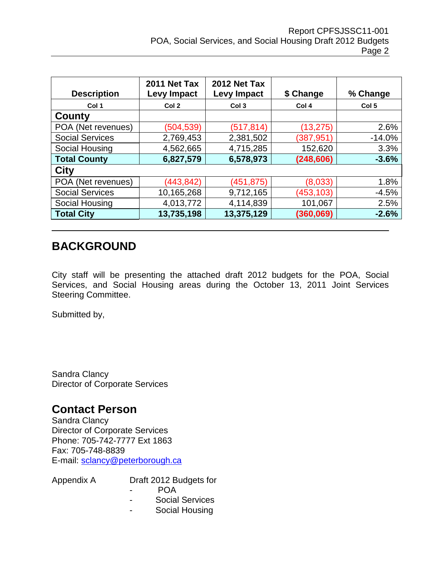| <b>Description</b>     | 2011 Net Tax<br><b>Levy Impact</b> | 2012 Net Tax<br><b>Levy Impact</b> | \$ Change  | % Change         |
|------------------------|------------------------------------|------------------------------------|------------|------------------|
| Col 1                  | Col 2                              | Col <sub>3</sub>                   | Col 4      | Col <sub>5</sub> |
| County                 |                                    |                                    |            |                  |
| POA (Net revenues)     | (504, 539)                         | (517, 814)                         | (13, 275)  | 2.6%             |
| <b>Social Services</b> | 2,769,453                          | 2,381,502                          | (387, 951) | $-14.0%$         |
| Social Housing         | 4,562,665                          | 4,715,285                          | 152,620    | 3.3%             |
| <b>Total County</b>    | 6,827,579                          | 6,578,973                          | (248, 606) | $-3.6%$          |
| <b>City</b>            |                                    |                                    |            |                  |
| POA (Net revenues)     | (443, 842)                         | (451, 875)                         | (8,033)    | 1.8%             |
| <b>Social Services</b> | 10,165,268                         | 9,712,165                          | (453,103)  | $-4.5%$          |
| Social Housing         | 4,013,772                          | 4,114,839                          | 101,067    | 2.5%             |
| <b>Total City</b>      | 13,735,198                         | 13,375,129                         | (360, 069) | $-2.6%$          |

### **BACKGROUND**

City staff will be presenting the attached draft 2012 budgets for the POA, Social Services, and Social Housing areas during the October 13, 2011 Joint Services Steering Committee.

Submitted by,

Sandra Clancy Director of Corporate Services

### **Contact Person**

Sandra Clancy Director of Corporate Services Phone: 705-742-7777 Ext 1863 Fax: 705-748-8839 E-mail: [sclancy@peterborough.ca](mailto:sclancy@peterborough.ca)

- Appendix A Draft 2012 Budgets for
	- POA
	- Social Services
	- Social Housing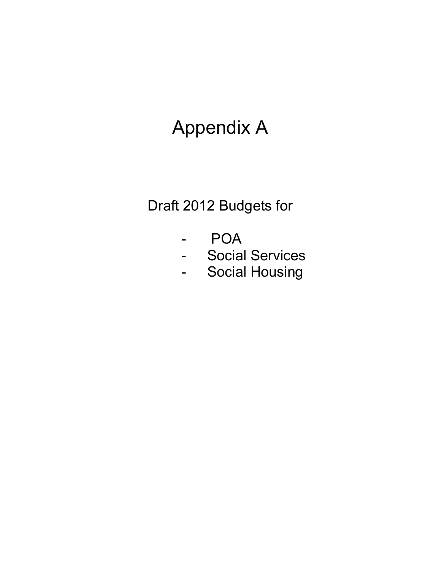## Appendix A

## Draft 2012 Budgets for

- POA
- Social Services
- Social Housing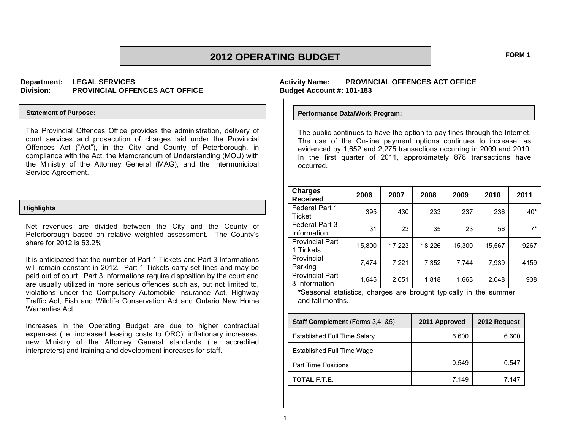### **2012 OPERATING BUDGET FORM 1**

### **Department: LEGAL SERVICES Division: PROVINCIAL OFFENCES ACT OFFICE**

#### **Statement of Purpose:**

The Provincial Offences Office provides the administration, delivery of court services and prosecution of charges laid under the Provincial Offences Act ("Act"), in the City and County of Peterborough, in compliance with the Act, the Memorandum of Understanding (MOU) with the Ministry of the Attorney General (MAG), and the Intermunicipal Service Agreement.

#### **Highlights**

Net revenues are divided between the City and the County of Peterborough based on relative weighted assessment. The County's share for 2012 is 53.2%

It is anticipated that the number of Part 1 Tickets and Part 3 Informations will remain constant in 2012. Part 1 Tickets carry set fines and may be paid out of court. Part 3 Informations require disposition by the court and are usually utilized in more serious offences such as, but not limited to, violations under the Compulsory Automobile Insurance Act, Highway Traffic Act, Fish and Wildlife Conservation Act and Ontario New Home Warranties Act.

Increases in the Operating Budget are due to higher contractual expenses (i.e. increased leasing costs to ORC), inflationary increases, new Ministry of the Attorney General standards (i.e. accredited interpreters) and training and development increases for staff.

### **Activity Name: PROVINCIAL OFFENCES ACT OFFICE Budget Account #: 101-183**

#### **Performance Data/Work Program:**

The public continues to have the option to pay fines through the Internet. The use of the On-line payment options continues to increase, as evidenced by 1,652 and 2,275 transactions occurring in 2009 and 2010. In the first quarter of 2011, approximately 878 transactions have occurred.

| <b>Charges</b><br><b>Received</b>       | 2006   | 2007   | 2008   | 2009   | 2010   | 2011  |
|-----------------------------------------|--------|--------|--------|--------|--------|-------|
| Federal Part 1<br>Ticket                | 395    | 430    | 233    | 237    | 236    | 40*   |
| Federal Part 3<br>Information           | 31     | 23     | 35     | 23     | 56     | $7^*$ |
| <b>Provincial Part</b><br>1 Tickets     | 15,800 | 17,223 | 18,226 | 15,300 | 15,567 | 9267  |
| Provincial<br>Parking                   | 7,474  | 7,221  | 7,352  | 7,744  | 7,939  | 4159  |
| <b>Provincial Part</b><br>3 Information | 1,645  | 2,051  | 1,818  | 1,663  | 2,048  | 938   |

**\***Seasonal statistics, charges are brought typically in the summer and fall months.

| <b>Staff Complement</b> (Forms 3.4, &5) | 2011 Approved | 2012 Request |
|-----------------------------------------|---------------|--------------|
| <b>Established Full Time Salary</b>     | 6.600         | 6.600        |
| Established Full Time Wage              |               |              |
| <b>Part Time Positions</b>              | 0.549         | 0.547        |
| TOTAL F.T.E.                            | 7.149         | 7 147        |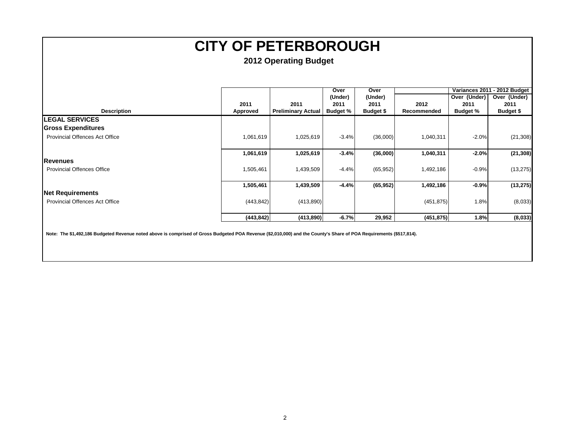| 2011<br><b>Preliminary Actual</b><br>1,025,619<br>1,025,619 | (Under)<br>2011<br><b>Budget %</b><br>$-3.4%$ | (Under)<br>2011<br>Budget \$<br>(36,000) | 2012<br>Recommended<br>1,040,311 | Over (Under)<br>2011<br><b>Budget %</b><br>$-2.0%$ | Over (Under)<br>2011<br>Budget \$ |
|-------------------------------------------------------------|-----------------------------------------------|------------------------------------------|----------------------------------|----------------------------------------------------|-----------------------------------|
|                                                             |                                               |                                          |                                  |                                                    |                                   |
|                                                             |                                               |                                          |                                  |                                                    |                                   |
|                                                             |                                               |                                          |                                  |                                                    | (21, 308)                         |
|                                                             |                                               |                                          |                                  |                                                    |                                   |
|                                                             |                                               |                                          |                                  |                                                    |                                   |
|                                                             |                                               |                                          |                                  |                                                    |                                   |
|                                                             | $-3.4%$                                       | (36,000)                                 | 1,040,311                        | $-2.0%$                                            | (21, 308)                         |
|                                                             |                                               |                                          |                                  |                                                    |                                   |
| 1,439,509                                                   | $-4.4%$                                       | (65, 952)                                | 1,492,186                        | $-0.9%$                                            | (13, 275)                         |
|                                                             | $-4.4%$                                       |                                          | 1,492,186                        | $-0.9%$                                            | (13, 275)                         |
|                                                             |                                               |                                          |                                  |                                                    |                                   |
|                                                             |                                               |                                          |                                  | 1.8%                                               | (8,033)                           |
|                                                             | $-6.7%$                                       | 29,952                                   |                                  | 1.8%                                               | (8,033)                           |
|                                                             |                                               | 1,439,509<br>(413, 890)<br>(413,890)     |                                  | (65, 952)                                          | (451, 875)<br>(451, 875)          |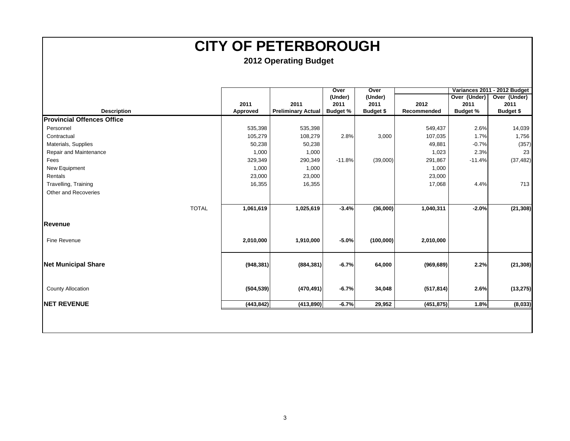|                                   |            |                           | Over            | Over             |             |                 | Variances 2011 - 2012 Budget |
|-----------------------------------|------------|---------------------------|-----------------|------------------|-------------|-----------------|------------------------------|
|                                   |            |                           | (Under)         | (Under)          |             | Over (Under)    | Over (Under)                 |
|                                   | 2011       | 2011                      | 2011            | 2011             | 2012        | 2011            | 2011                         |
| <b>Description</b>                | Approved   | <b>Preliminary Actual</b> | <b>Budget %</b> | <b>Budget \$</b> | Recommended | <b>Budget %</b> | <b>Budget \$</b>             |
| <b>Provincial Offences Office</b> |            |                           |                 |                  |             |                 |                              |
| Personnel                         | 535,398    | 535,398                   |                 |                  | 549,437     | 2.6%            | 14,039                       |
| Contractual                       | 105,279    | 108,279                   | 2.8%            | 3,000            | 107,035     | 1.7%            | 1,756                        |
| Materials, Supplies               | 50,238     | 50,238                    |                 |                  | 49,881      | $-0.7%$         | (357)                        |
| Repair and Maintenance            | 1,000      | 1,000                     |                 |                  | 1,023       | 2.3%            | 23                           |
| Fees                              | 329,349    | 290,349                   | $-11.8%$        | (39,000)         | 291,867     | $-11.4%$        | (37, 482)                    |
| New Equipment                     | 1,000      | 1,000                     |                 |                  | 1,000       |                 |                              |
| Rentals                           | 23,000     | 23,000                    |                 |                  | 23,000      |                 |                              |
| Travelling, Training              | 16,355     | 16,355                    |                 |                  | 17,068      | 4.4%            | 713                          |
| Other and Recoveries              |            |                           |                 |                  |             |                 |                              |
|                                   |            |                           |                 |                  |             |                 |                              |
| <b>TOTAL</b>                      | 1,061,619  | 1,025,619                 | $-3.4%$         | (36,000)         | 1,040,311   | $-2.0%$         | (21, 308)                    |
| <b>Revenue</b>                    |            |                           |                 |                  |             |                 |                              |
| Fine Revenue                      | 2,010,000  | 1,910,000                 | $-5.0%$         | (100,000)        | 2,010,000   |                 |                              |
| <b>Net Municipal Share</b>        | (948, 381) | (884, 381)                | $-6.7%$         | 64,000           | (969, 689)  | 2.2%            | (21, 308)                    |
| <b>County Allocation</b>          | (504, 539) | (470, 491)                | $-6.7%$         | 34,048           | (517, 814)  | 2.6%            | (13, 275)                    |
| <b>NET REVENUE</b>                | (443, 842) | (413,890)                 | $-6.7%$         | 29,952           | (451, 875)  | 1.8%            | (8,033)                      |
|                                   |            |                           |                 |                  |             |                 |                              |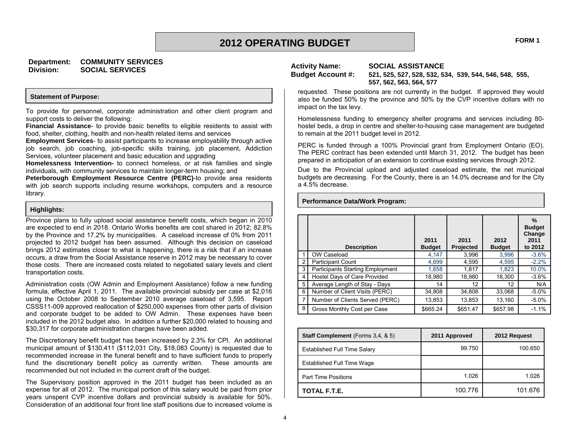### **Department: COMMUNITY SERVICES Division: SOCIAL SERVICES Activity Name: SOCIAL ASSISTANCE**

#### **Statement of Purpose:**

To provide for personnel, corporate administration and other client program and support costs to deliver the following:

**Financial Assistance**- to provide basic benefits to eligible residents to assist with food, shelter, clothing, health and non-health related items and services

**Employment Services**- to assist participants to increase employability through active job search, job coaching, job-specific skills training, job placement, Addiction Services, volunteer placement and basic education and upgrading

**Homelessness Intervention-** to connect homeless, or at risk families and single individuals, with community services to maintain longer-term housing; and

**Peterborough Employment Resource Centre (PERC)**-to provide area residents with job search supports including resume workshops, computers and a resource library.

#### **Highlights:**

Province plans to fully upload social assistance benefit costs, which began in 2010 are expected to end in 2018. Ontario Works benefits are cost shared in 2012; 82.8% by the Province and 17.2% by municipalities. A caseload increase of 0% from 2011 projected to 2012 budget has been assumed. Although this decision on caseload brings 2012 estimates closer to what is happening, there is a risk that if an increase occurs, a draw from the Social Assistance reserve in 2012 may be necessary to cover those costs. There are increased costs related to negotiated salary levels and client transportation costs.

Administration costs (OW Admin and Employment Assistance) follow a new funding formula, effective April 1, 2011. The available provincial subsidy per case at \$2,016 using the October 2008 to September 2010 average caseload of 3,595. Report CSSS11-009 approved reallocation of \$250,000 expenses from other parts of division and corporate budget to be added to OW Admin. These expenses have been included in the 2012 budget also. In addition a further \$20,000 related to housing and \$30,317 for corporate administration charges have been added.

The Discretionary benefit budget has been increased by 2.3% for CPI. An additional municipal amount of \$130,411 (\$112,031 City, \$18,083 County) is requested due to recommended increase in the funeral benefit and to have sufficient funds to properly fund the discretionary benefit policy as currently written. These amounts are recommended but not included in the current draft of the budget.

The Supervisory position approved in the 2011 budget has been included as an expense for all of 2012. The municipal portion of this salary would be paid from prior years unspent CVP incentive dollars and provincial subsidy is available for 50%. Consideration of an additional four front line staff positions due to increased volume is

**Performance Data/Work Program:**

**Budget Account #: 521, 525, 527, 528, 532, 534, 539, 544, 546, 548, 555, 557, 562, 563, 564, 577**

requested. These positions are not currently in the budget. If approved they would also be funded 50% by the province and 50% by the CVP incentive dollars with no impact on the tax levy.

Homelessness funding to emergency shelter programs and services including 80 hostel beds, a drop in centre and shelter-to-housing case management are budgeted to remain at the 2011 budget level in 2012.

PERC is funded through a 100% Provincial grant from Employment Ontario (EO). The PERC contract has been extended until March 31, 2012. The budget has been prepared in anticipation of an extension to continue existing services through 2012.

Due to the Provincial upload and adjusted caseload estimate, the net municipal budgets are decreasing. For the County, there is an 14.0% decrease and for the City a 4.5% decrease.

|   | <b>Description</b>               | 2011<br><b>Budget</b> | 2011<br>Projected | 2012<br><b>Budget</b> | %<br><b>Budget</b><br>Change<br>2011<br>to 2012 |
|---|----------------------------------|-----------------------|-------------------|-----------------------|-------------------------------------------------|
|   | OW Caseload                      | 4,147                 | 3,996             | 3,996                 | $-3.6%$                                         |
| 2 | <b>Participant Count</b>         | 4,699                 | 4,595             | 4,595                 | $-2.2%$                                         |
| 3 | Participants Starting Employment | 1,658                 | 1,817             | 1.823                 | 10.0%                                           |
| 4 | Hostel Days of Care Provided     | 18,980                | 18,980            | 18,300                | $-3.6\%$                                        |
| 5 | Average Length of Stay - Days    | 14                    | 12                | 12                    | N/A                                             |
| 6 | Number of Client Visits (PERC)   | 34,808                | 34,808            | 33,068                | $-5.0\%$                                        |
| 7 | Number of Clients Served (PERC)  | 13,853                | 13,853            | 13,160                | $-5.0\%$                                        |
| 8 | Gross Monthly Cost per Case      | \$665.24              | \$651.47          | \$657.98              | $-1.1%$                                         |

| <b>Staff Complement</b> (Forms 3,4, & 5) | 2011 Approved | 2012 Request |
|------------------------------------------|---------------|--------------|
| Established Full Time Salary             | 99.750        | 100.650      |
| Established Full Time Wage               |               |              |
| <b>Part Time Positions</b>               | 1.026         | 1.026        |
| TOTAL F.T.E.                             | 100.776       | 101.676      |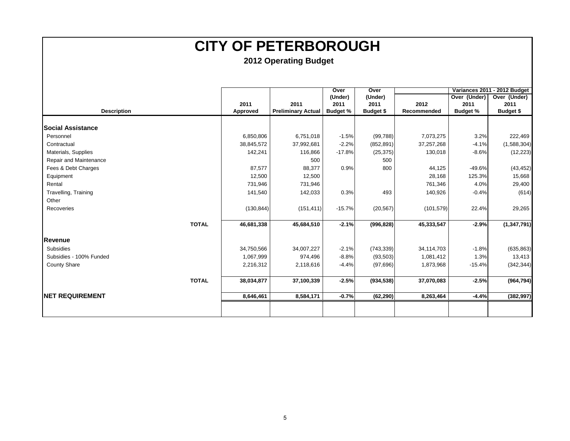|                          |            |                           | Over            | Over             |             |                 | Variances 2011 - 2012 Budget |
|--------------------------|------------|---------------------------|-----------------|------------------|-------------|-----------------|------------------------------|
|                          |            |                           | (Under)         | (Under)          |             | Over (Under)    | Over (Under)                 |
|                          | 2011       | 2011                      | 2011            | 2011             | 2012        | 2011            | 2011                         |
| <b>Description</b>       | Approved   | <b>Preliminary Actual</b> | <b>Budget %</b> | <b>Budget \$</b> | Recommended | <b>Budget %</b> | <b>Budget \$</b>             |
|                          |            |                           |                 |                  |             |                 |                              |
| <b>Social Assistance</b> |            |                           |                 |                  |             |                 |                              |
| Personnel                | 6,850,806  | 6,751,018                 | $-1.5%$         | (99, 788)        | 7,073,275   | 3.2%            | 222,469                      |
| Contractual              | 38,845,572 | 37,992,681                | $-2.2%$         | (852, 891)       | 37,257,268  | $-4.1%$         | (1,588,304)                  |
| Materials, Supplies      | 142,241    | 116,866                   | $-17.8%$        | (25, 375)        | 130,018     | $-8.6%$         | (12, 223)                    |
| Repair and Maintenance   |            | 500                       |                 | 500              |             |                 |                              |
| Fees & Debt Charges      | 87,577     | 88,377                    | 0.9%            | 800              | 44,125      | $-49.6%$        | (43, 452)                    |
| Equipment                | 12,500     | 12,500                    |                 |                  | 28,168      | 125.3%          | 15,668                       |
| Rental                   | 731,946    | 731,946                   |                 |                  | 761,346     | 4.0%            | 29,400                       |
| Travelling, Training     | 141,540    | 142,033                   | 0.3%            | 493              | 140,926     | $-0.4%$         | (614)                        |
| Other                    |            |                           |                 |                  |             |                 |                              |
| Recoveries               | (130, 844) | (151, 411)                | $-15.7%$        | (20, 567)        | (101, 579)  | 22.4%           | 29,265                       |
|                          |            |                           |                 |                  |             |                 |                              |
| <b>TOTAL</b>             | 46,681,338 | 45,684,510                | $-2.1%$         | (996, 828)       | 45,333,547  | $-2.9%$         | (1, 347, 791)                |
|                          |            |                           |                 |                  |             |                 |                              |
| <b>Revenue</b>           |            |                           |                 |                  |             |                 |                              |
| <b>Subsidies</b>         | 34,750,566 | 34,007,227                | $-2.1%$         | (743, 339)       | 34,114,703  | $-1.8%$         | (635, 863)                   |
| Subsidies - 100% Funded  | 1,067,999  | 974,496                   | $-8.8%$         | (93, 503)        | 1,081,412   | 1.3%            | 13,413                       |
| <b>County Share</b>      | 2,216,312  | 2,118,616                 | $-4.4%$         | (97, 696)        | 1,873,968   | $-15.4%$        | (342, 344)                   |
| <b>TOTAL</b>             | 38,034,877 | 37,100,339                | $-2.5%$         | (934, 538)       | 37,070,083  | $-2.5%$         | (964, 794)                   |
|                          |            |                           |                 |                  |             |                 |                              |
| <b>INET REQUIREMENT</b>  | 8,646,461  | 8,584,171                 | $-0.7%$         | (62, 290)        | 8,263,464   | $-4.4%$         | (382, 997)                   |
|                          |            |                           |                 |                  |             |                 |                              |
|                          |            |                           |                 |                  |             |                 |                              |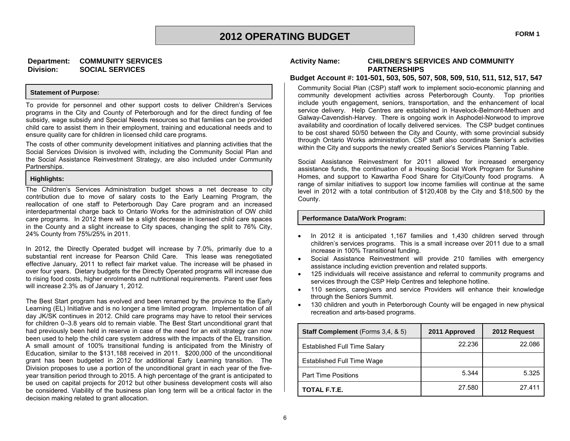#### **Statement of Purpose:**

To provide for personnel and other support costs to deliver Children's Services programs in the City and County of Peterborough and for the direct funding of fee subsidy, wage subsidy and Special Needs resources so that families can be provided child care to assist them in their employment, training and educational needs and to ensure quality care for children in licensed child care programs.

**Division: SOCIAL SERVICES**

The costs of other community development initiatives and planning activities that the Social Services Division is involved with, including the Community Social Plan and the Social Assistance Reinvestment Strategy, are also included under Community Partnerships.

#### **Highlights:**

The Children's Services Administration budget shows a net decrease to city contribution due to move of salary costs to the Early Learning Program, the reallocation of one staff to Peterborough Day Care program and an increased interdepartmental charge back to Ontario Works for the administration of OW child care programs. In 2012 there will be a slight decrease in licensed child care spaces in the County and a slight increase to City spaces, changing the split to 76% City, 24% County from 75%/25% in 2011.

In 2012, the Directly Operated budget will increase by 7.0%, primarily due to a substantial rent increase for Pearson Child Care. This lease was renegotiated effective January, 2011 to reflect fair market value. The increase will be phased in over four years. Dietary budgets for the Directly Operated programs will increase due to rising food costs, higher enrolments and nutritional requirements. Parent user fees will increase 2.3% as of January 1, 2012.

The Best Start program has evolved and been renamed by the province to the Early Learning (EL) Initiative and is no longer a time limited program. Implementation of all day JK/SK continues in 2012. Child care programs may have to retool their services for children 0–3.8 years old to remain viable. The Best Start unconditional grant that had previously been held in reserve in case of the need for an exit strategy can now been used to help the child care system address with the impacts of the EL transition. A small amount of 100% transitional funding is anticipated from the Ministry of Education, similar to the \$131,188 received in 2011. \$200,000 of the unconditional grant has been budgeted in 2012 for additional Early Learning transition. The Division proposes to use a portion of the unconditional grant in each year of the fiveyear transition period through to 2015. A high percentage of the grant is anticipated to be used on capital projects for 2012 but other business development costs will also be considered. Viability of the business plan long term will be a critical factor in the decision making related to grant allocation.

#### **Activity Name: CHILDREN'S SERVICES AND COMMUNITY PARTNERSHIPS**

#### **Budget Account #: 101-501, 503, 505, 507, 508, 509, 510, 511, 512, 517, 547**

Community Social Plan (CSP) staff work to implement socio-economic planning and community development activities across Peterborough County. Top priorities include youth engagement, seniors, transportation, and the enhancement of local service delivery. Help Centres are established in Havelock-Belmont-Methuen and Galway-Cavendish-Harvey. There is ongoing work in Asphodel-Norwood to improve availability and coordination of locally delivered services. The CSP budget continues to be cost shared 50/50 between the City and County, with some provincial subsidy through Ontario Works administration. CSP staff also coordinate Senior's activities within the City and supports the newly created Senior's Services Planning Table.

Social Assistance Reinvestment for 2011 allowed for increased emergency assistance funds, the continuation of a Housing Social Work Program for Sunshine Homes, and support to Kawartha Food Share for City/County food programs. A range of similar initiatives to support low income families will continue at the same level in 2012 with a total contribution of \$120,408 by the City and \$18,500 by the County.

#### **Performance Data/Work Program:**

- In 2012 it is anticipated 1,167 families and 1,430 children served through children's services programs. This is a small increase over 2011 due to a small increase in 100% Transitional funding.
- Social Assistance Reinvestment will provide 210 families with emergency assistance including eviction prevention and related supports.
- 125 individuals will receive assistance and referral to community programs and services through the CSP Help Centres and telephone hotline.
- 110 seniors, caregivers and service Providers will enhance their knowledge through the Seniors Summit.
- 130 children and youth in Peterborough County will be engaged in new physical recreation and arts-based programs.

| Staff Complement (Forms 3,4, & 5) | 2011 Approved | 2012 Request |
|-----------------------------------|---------------|--------------|
| Established Full Time Salary      | 22.236        | 22.086       |
| Established Full Time Wage        |               |              |
| <b>Part Time Positions</b>        | 5.344         | 5.325        |
| TOTAL F.T.E.                      | 27.580        | 27.411       |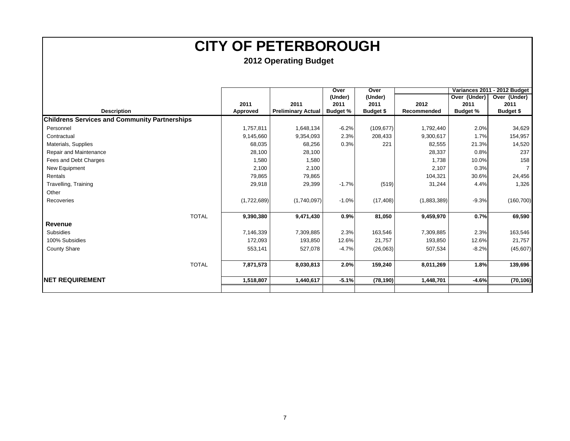|                                                      |             |                           | Over            | Over             |             |                 | Variances 2011 - 2012 Budget |
|------------------------------------------------------|-------------|---------------------------|-----------------|------------------|-------------|-----------------|------------------------------|
|                                                      |             |                           | (Under)         | (Under)          |             | Over (Under)    | Over (Under)                 |
|                                                      | 2011        | 2011                      | 2011            | 2011             | 2012        | 2011            | 2011                         |
| <b>Description</b>                                   | Approved    | <b>Preliminary Actual</b> | <b>Budget %</b> | <b>Budget \$</b> | Recommended | <b>Budget %</b> | Budget \$                    |
| <b>Childrens Services and Community Partnerships</b> |             |                           |                 |                  |             |                 |                              |
| Personnel                                            | 1,757,811   | 1,648,134                 | $-6.2%$         | (109, 677)       | 1,792,440   | 2.0%            | 34,629                       |
| Contractual                                          | 9,145,660   | 9,354,093                 | 2.3%            | 208,433          | 9,300,617   | 1.7%            | 154,957                      |
| Materials, Supplies                                  | 68,035      | 68,256                    | 0.3%            | 221              | 82,555      | 21.3%           | 14,520                       |
| Repair and Maintenance                               | 28,100      | 28,100                    |                 |                  | 28,337      | 0.8%            | 237                          |
| Fees and Debt Charges                                | 1,580       | 1,580                     |                 |                  | 1,738       | 10.0%           | 158                          |
| New Equipment                                        | 2,100       | 2,100                     |                 |                  | 2,107       | 0.3%            | $\overline{7}$               |
| Rentals                                              | 79,865      | 79,865                    |                 |                  | 104,321     | 30.6%           | 24,456                       |
| Travelling, Training                                 | 29,918      | 29,399                    | $-1.7%$         | (519)            | 31,244      | 4.4%            | 1,326                        |
| Other                                                |             |                           |                 |                  |             |                 |                              |
| Recoveries                                           | (1,722,689) | (1,740,097)               | $-1.0%$         | (17, 408)        | (1,883,389) | $-9.3%$         | (160, 700)                   |
| <b>TOTAL</b>                                         | 9,390,380   | 9,471,430                 | 0.9%            | 81,050           | 9,459,970   | 0.7%            | 69,590                       |
| Revenue                                              |             |                           |                 |                  |             |                 |                              |
| <b>Subsidies</b>                                     | 7,146,339   | 7,309,885                 | 2.3%            | 163,546          | 7,309,885   | 2.3%            | 163,546                      |
| 100% Subsidies                                       | 172,093     | 193,850                   | 12.6%           | 21,757           | 193,850     | 12.6%           | 21,757                       |
| <b>County Share</b>                                  | 553,141     | 527,078                   | $-4.7%$         | (26,063)         | 507,534     | $-8.2%$         | (45, 607)                    |
| <b>TOTAL</b>                                         | 7,871,573   | 8,030,813                 | 2.0%            | 159,240          | 8,011,269   | 1.8%            | 139,696                      |
|                                                      |             |                           |                 |                  |             |                 |                              |
| <b>INET REQUIREMENT</b>                              | 1,518,807   | 1,440,617                 | $-5.1%$         | (78, 190)        | 1,448,701   | $-4.6%$         | (70, 106)                    |
|                                                      |             |                           |                 |                  |             |                 |                              |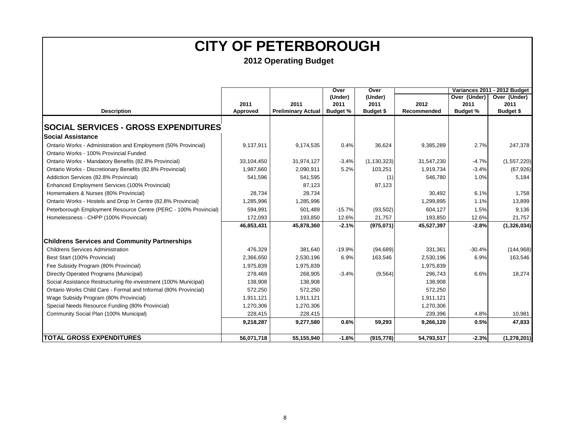|                                                                  |            |                           | Over            | Over          |             |                 | Variances 2011 - 2012 Budget |
|------------------------------------------------------------------|------------|---------------------------|-----------------|---------------|-------------|-----------------|------------------------------|
|                                                                  |            |                           | (Under)         | (Under)       |             | Over (Under)    | Over (Under)                 |
|                                                                  | 2011       | 2011                      | 2011            | 2011          | 2012        | 2011            | 2011                         |
| <b>Description</b>                                               | Approved   | <b>Preliminary Actual</b> | <b>Budget %</b> | Budget \$     | Recommended | <b>Budget %</b> | Budget \$                    |
| <b>SOCIAL SERVICES - GROSS EXPENDITURES</b>                      |            |                           |                 |               |             |                 |                              |
| <b>Social Assistance</b>                                         |            |                           |                 |               |             |                 |                              |
| Ontario Works - Administration and Employment (50% Provincial)   | 9,137,911  | 9,174,535                 | 0.4%            | 36,624        | 9,385,289   | 2.7%            | 247,378                      |
| Ontario Works - 100% Provincial Funded                           |            |                           |                 |               |             |                 |                              |
| Ontario Works - Mandatory Benefits (82.8% Provincial)            | 33,104,450 | 31,974,127                | $-3.4%$         | (1, 130, 323) | 31,547,230  | $-4.7%$         | (1,557,220)                  |
| Ontario Works - Discretionary Benefits (82.8% Provincial)        | 1,987,660  | 2,090,911                 | 5.2%            | 103,251       | 1,919,734   | $-3.4%$         | (67, 926)                    |
| Addiction Services (82.8% Provincial)                            | 541,596    | 541,595                   |                 | (1)           | 546,780     | 1.0%            | 5,184                        |
| Enhanced Employment Services (100% Provincial)                   |            | 87,123                    |                 | 87,123        |             |                 |                              |
| Homemakers & Nurses (80% Provincial)                             | 28,734     | 28,734                    |                 |               | 30,492      | 6.1%            | 1,758                        |
| Ontario Works - Hostels and Drop In Centre (82.8% Provincial)    | 1,285,996  | 1,285,996                 |                 |               | 1,299,895   | 1.1%            | 13,899                       |
| Peterborough Employment Resource Centre (PERC - 100% Provincial) | 594,991    | 501,489                   | $-15.7%$        | (93, 502)     | 604,127     | 1.5%            | 9,136                        |
| Homelessness - CHPP (100% Provincial)                            | 172,093    | 193.850                   | 12.6%           | 21,757        | 193,850     | 12.6%           | 21.757                       |
|                                                                  | 46,853,431 | 45,878,360                | $-2.1%$         | (975, 071)    | 45,527,397  | $-2.8%$         | (1,326,034)                  |
| <b>Childrens Services and Community Partnerships</b>             |            |                           |                 |               |             |                 |                              |
| <b>Childrens Services Administration</b>                         | 476,329    | 381,640                   | $-19.9%$        | (94, 689)     | 331,361     | $-30.4%$        | (144, 968)                   |
| Best Start (100% Provincial)                                     | 2,366,650  | 2,530,196                 | 6.9%            | 163,546       | 2,530,196   | 6.9%            | 163,546                      |
| Fee Subsidy Program (80% Provincial)                             | 1,975,839  | 1,975,839                 |                 |               | 1,975,839   |                 |                              |
| Directly Operated Programs (Municipal)                           | 278,469    | 268,905                   | $-3.4%$         | (9, 564)      | 296,743     | 6.6%            | 18,274                       |
| Social Assistance Restructuring Re-investment (100% Municipal)   | 138,908    | 138,908                   |                 |               | 138,908     |                 |                              |
| Ontario Works Child Care - Formal and Informal (80% Provincial)  | 572,250    | 572,250                   |                 |               | 572,250     |                 |                              |
| Wage Subsidy Program (80% Provincial)                            | 1,911,121  | 1,911,121                 |                 |               | 1,911,121   |                 |                              |
| Special Needs Resource Funding (80% Provincial)                  | 1,270,306  | 1,270,306                 |                 |               | 1,270,306   |                 |                              |
| Community Social Plan (100% Municipal)                           | 228,415    | 228,415                   |                 |               | 239,396     | 4.8%            | 10,981                       |
|                                                                  | 9,218,287  | 9,277,580                 | 0.6%            | 59,293        | 9,266,120   | 0.5%            | 47,833                       |
| <b>ITOTAL GROSS EXPENDITURES</b>                                 | 56,071,718 | 55,155,940                | $-1.6%$         | (915, 778)    | 54,793,517  | $-2.3%$         | (1, 278, 201)                |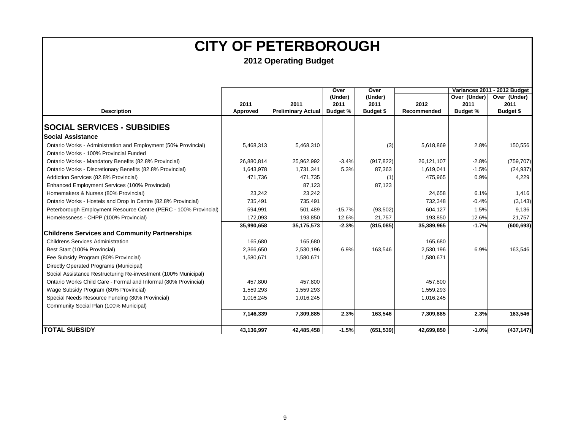|                                                                  |            | Over<br>Over              |                 |                  |             | Variances 2011 - 2012 Budget |              |  |
|------------------------------------------------------------------|------------|---------------------------|-----------------|------------------|-------------|------------------------------|--------------|--|
|                                                                  |            |                           | (Under)         | (Under)          |             | Over (Under)                 | Over (Under) |  |
|                                                                  | 2011       | 2011                      | 2011            | 2011             | 2012        | 2011                         | 2011         |  |
| <b>Description</b>                                               | Approved   | <b>Preliminary Actual</b> | <b>Budget %</b> | <b>Budget \$</b> | Recommended | <b>Budget %</b>              | Budget \$    |  |
| <b>SOCIAL SERVICES - SUBSIDIES</b>                               |            |                           |                 |                  |             |                              |              |  |
| Social Assistance                                                |            |                           |                 |                  |             |                              |              |  |
| Ontario Works - Administration and Employment (50% Provincial)   | 5,468,313  | 5,468,310                 |                 | (3)              | 5,618,869   | 2.8%                         | 150,556      |  |
| Ontario Works - 100% Provincial Funded                           |            |                           |                 |                  |             |                              |              |  |
| Ontario Works - Mandatory Benefits (82.8% Provincial)            | 26,880,814 | 25,962,992                | $-3.4%$         | (917, 822)       | 26,121,107  | $-2.8%$                      | (759, 707)   |  |
| Ontario Works - Discretionary Benefits (82.8% Provincial)        | 1,643,978  | 1,731,341                 | 5.3%            | 87,363           | 1,619,041   | $-1.5%$                      | (24, 937)    |  |
| Addiction Services (82.8% Provincial)                            | 471,736    | 471.735                   |                 | (1)              | 475,965     | 0.9%                         | 4,229        |  |
| Enhanced Employment Services (100% Provincial)                   |            | 87,123                    |                 | 87,123           |             |                              |              |  |
| Homemakers & Nurses (80% Provincial)                             | 23,242     | 23,242                    |                 |                  | 24,658      | 6.1%                         | 1,416        |  |
| Ontario Works - Hostels and Drop In Centre (82.8% Provincial)    | 735,491    | 735,491                   |                 |                  | 732,348     | $-0.4%$                      | (3, 143)     |  |
| Peterborough Employment Resource Centre (PERC - 100% Provincial) | 594,991    | 501,489                   | $-15.7%$        | (93, 502)        | 604,127     | 1.5%                         | 9,136        |  |
| Homelessness - CHPP (100% Provincial)                            | 172,093    | 193,850                   | 12.6%           | 21,757           | 193,850     | 12.6%                        | 21,757       |  |
|                                                                  | 35,990,658 | 35,175,573                | $-2.3%$         | (815,085)        | 35,389,965  | $-1.7%$                      | (600, 693)   |  |
| <b>Childrens Services and Community Partnerships</b>             |            |                           |                 |                  |             |                              |              |  |
| <b>Childrens Services Administration</b>                         | 165,680    | 165,680                   |                 |                  | 165,680     |                              |              |  |
| Best Start (100% Provincial)                                     | 2,366,650  | 2,530,196                 | 6.9%            | 163,546          | 2,530,196   | 6.9%                         | 163,546      |  |
| Fee Subsidy Program (80% Provincial)                             | 1,580,671  | 1,580,671                 |                 |                  | 1,580,671   |                              |              |  |
| Directly Operated Programs (Municipal)                           |            |                           |                 |                  |             |                              |              |  |
| Social Assistance Restructuring Re-investment (100% Municipal)   |            |                           |                 |                  |             |                              |              |  |
| Ontario Works Child Care - Formal and Informal (80% Provincial)  | 457.800    | 457.800                   |                 |                  | 457,800     |                              |              |  |
| Wage Subsidy Program (80% Provincial)                            | 1,559,293  | 1,559,293                 |                 |                  | 1,559,293   |                              |              |  |
| Special Needs Resource Funding (80% Provincial)                  | 1,016,245  | 1,016,245                 |                 |                  | 1,016,245   |                              |              |  |
| Community Social Plan (100% Municipal)                           |            |                           |                 |                  |             |                              |              |  |
|                                                                  | 7,146,339  | 7,309,885                 | 2.3%            | 163,546          | 7,309,885   | 2.3%                         | 163,546      |  |
| <b>TOTAL SUBSIDY</b>                                             | 43,136,997 | 42,485,458                | $-1.5%$         | (651, 539)       | 42,699,850  | $-1.0%$                      | (437, 147)   |  |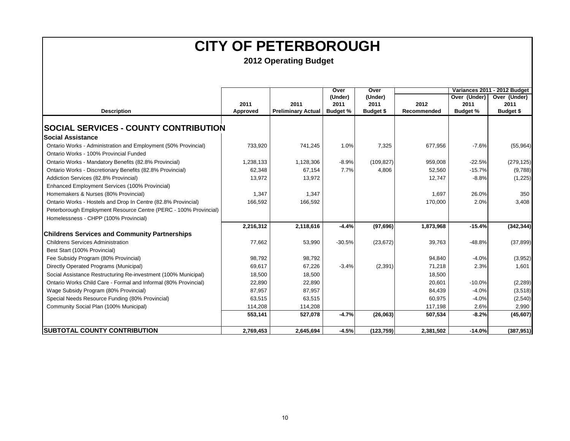|                                                                  |           |                           | Over            | Over             |             |                 | Variances 2011 - 2012 Budget |  |
|------------------------------------------------------------------|-----------|---------------------------|-----------------|------------------|-------------|-----------------|------------------------------|--|
|                                                                  |           |                           | (Under)         | (Under)          |             | Over (Under)    | Over (Under)                 |  |
|                                                                  | 2011      | 2011                      | 2011            | 2011             | 2012        | 2011            | 2011                         |  |
| <b>Description</b>                                               | Approved  | <b>Preliminary Actual</b> | <b>Budget %</b> | <b>Budget \$</b> | Recommended | <b>Budget %</b> | Budget \$                    |  |
|                                                                  |           |                           |                 |                  |             |                 |                              |  |
| <b>SOCIAL SERVICES - COUNTY CONTRIBUTION</b>                     |           |                           |                 |                  |             |                 |                              |  |
| <b>Social Assistance</b>                                         |           |                           |                 |                  |             |                 |                              |  |
| Ontario Works - Administration and Employment (50% Provincial)   | 733,920   | 741,245                   | 1.0%            | 7,325            | 677,956     | $-7.6%$         | (55,964)                     |  |
| Ontario Works - 100% Provincial Funded                           |           |                           |                 |                  |             |                 |                              |  |
| Ontario Works - Mandatory Benefits (82.8% Provincial)            | 1,238,133 | 1,128,306                 | $-8.9%$         | (109, 827)       | 959,008     | $-22.5%$        | (279, 125)                   |  |
| Ontario Works - Discretionary Benefits (82.8% Provincial)        | 62,348    | 67.154                    | 7.7%            | 4,806            | 52,560      | $-15.7%$        | (9,788)                      |  |
| Addiction Services (82.8% Provincial)                            | 13,972    | 13,972                    |                 |                  | 12,747      | $-8.8%$         | (1,225)                      |  |
| Enhanced Employment Services (100% Provincial)                   |           |                           |                 |                  |             |                 |                              |  |
| Homemakers & Nurses (80% Provincial)                             | 1,347     | 1,347                     |                 |                  | 1,697       | 26.0%           | 350                          |  |
| Ontario Works - Hostels and Drop In Centre (82.8% Provincial)    | 166,592   | 166,592                   |                 |                  | 170,000     | 2.0%            | 3,408                        |  |
| Peterborough Employment Resource Centre (PERC - 100% Provincial) |           |                           |                 |                  |             |                 |                              |  |
| Homelessness - CHPP (100% Provincial)                            |           |                           |                 |                  |             |                 |                              |  |
|                                                                  | 2,216,312 | 2,118,616                 | $-4.4%$         | (97,696)         | 1,873,968   | $-15.4%$        | (342, 344)                   |  |
| <b>Childrens Services and Community Partnerships</b>             |           |                           |                 |                  |             |                 |                              |  |
| <b>Childrens Services Administration</b>                         | 77,662    | 53,990                    | $-30.5%$        | (23, 672)        | 39,763      | $-48.8%$        | (37, 899)                    |  |
| Best Start (100% Provincial)                                     |           |                           |                 |                  |             |                 |                              |  |
| Fee Subsidy Program (80% Provincial)                             | 98,792    | 98,792                    |                 |                  | 94,840      | $-4.0%$         | (3,952)                      |  |
| Directly Operated Programs (Municipal)                           | 69.617    | 67.226                    | $-3.4%$         | (2, 391)         | 71,218      | 2.3%            | 1,601                        |  |
| Social Assistance Restructuring Re-investment (100% Municipal)   | 18,500    | 18,500                    |                 |                  | 18,500      |                 |                              |  |
| Ontario Works Child Care - Formal and Informal (80% Provincial)  | 22,890    | 22,890                    |                 |                  | 20,601      | $-10.0%$        | (2, 289)                     |  |
| Wage Subsidy Program (80% Provincial)                            | 87,957    | 87,957                    |                 |                  | 84,439      | $-4.0%$         | (3,518)                      |  |
| Special Needs Resource Funding (80% Provincial)                  | 63,515    | 63,515                    |                 |                  | 60,975      | $-4.0%$         | (2,540)                      |  |
| Community Social Plan (100% Municipal)                           | 114,208   | 114,208                   |                 |                  | 117,198     | 2.6%            | 2,990                        |  |
|                                                                  | 553,141   | 527,078                   | $-4.7%$         | (26,063)         | 507,534     | $-8.2%$         | (45,607)                     |  |
|                                                                  |           |                           |                 |                  |             |                 |                              |  |
| <b>ISUBTOTAL COUNTY CONTRIBUTION</b>                             | 2,769,453 | 2,645,694                 | $-4.5%$         | (123, 759)       | 2,381,502   | $-14.0%$        | (387, 951)                   |  |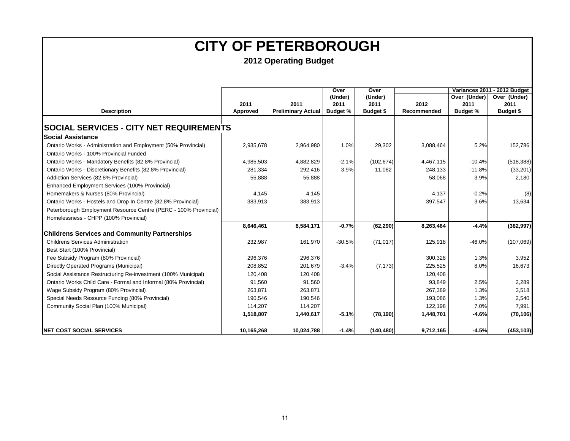|                                                                  |            |                           | Over            | Over             |             | Variances 2011 - 2012 Budget |              |  |
|------------------------------------------------------------------|------------|---------------------------|-----------------|------------------|-------------|------------------------------|--------------|--|
|                                                                  |            |                           | (Under)         | (Under)          |             | Over (Under)                 | Over (Under) |  |
|                                                                  | 2011       | 2011                      | 2011            | 2011             | 2012        | 2011                         | 2011         |  |
| <b>Description</b>                                               | Approved   | <b>Preliminary Actual</b> | <b>Budget %</b> | <b>Budget \$</b> | Recommended | <b>Budget %</b>              | Budget \$    |  |
|                                                                  |            |                           |                 |                  |             |                              |              |  |
| <b>SOCIAL SERVICES - CITY NET REQUIREMENTS</b>                   |            |                           |                 |                  |             |                              |              |  |
| Social Assistance                                                |            |                           |                 |                  |             |                              |              |  |
| Ontario Works - Administration and Employment (50% Provincial)   | 2,935,678  | 2,964,980                 | 1.0%            | 29,302           | 3,088,464   | 5.2%                         | 152,786      |  |
| Ontario Works - 100% Provincial Funded                           |            |                           |                 |                  |             |                              |              |  |
| Ontario Works - Mandatory Benefits (82.8% Provincial)            | 4,985,503  | 4,882,829                 | $-2.1%$         | (102, 674)       | 4,467,115   | $-10.4%$                     | (518, 388)   |  |
| Ontario Works - Discretionary Benefits (82.8% Provincial)        | 281,334    | 292,416                   | 3.9%            | 11,082           | 248,133     | $-11.8%$                     | (33, 201)    |  |
| Addiction Services (82.8% Provincial)                            | 55,888     | 55,888                    |                 |                  | 58,068      | 3.9%                         | 2,180        |  |
| Enhanced Employment Services (100% Provincial)                   |            |                           |                 |                  |             |                              |              |  |
| Homemakers & Nurses (80% Provincial)                             | 4,145      | 4,145                     |                 |                  | 4,137       | $-0.2%$                      | (8)          |  |
| Ontario Works - Hostels and Drop In Centre (82.8% Provincial)    | 383,913    | 383,913                   |                 |                  | 397,547     | 3.6%                         | 13,634       |  |
| Peterborough Employment Resource Centre (PERC - 100% Provincial) |            |                           |                 |                  |             |                              |              |  |
| Homelessness - CHPP (100% Provincial)                            |            |                           |                 |                  |             |                              |              |  |
|                                                                  | 8,646,461  | 8,584,171                 | $-0.7%$         | (62, 290)        | 8,263,464   | $-4.4%$                      | (382, 997)   |  |
| <b>Childrens Services and Community Partnerships</b>             |            |                           |                 |                  |             |                              |              |  |
| <b>Childrens Services Administration</b>                         | 232,987    | 161,970                   | $-30.5%$        | (71, 017)        | 125,918     | $-46.0%$                     | (107,069)    |  |
| Best Start (100% Provincial)                                     |            |                           |                 |                  |             |                              |              |  |
| Fee Subsidy Program (80% Provincial)                             | 296,376    | 296,376                   |                 |                  | 300,328     | 1.3%                         | 3,952        |  |
| Directly Operated Programs (Municipal)                           | 208,852    | 201,679                   | $-3.4%$         | (7, 173)         | 225,525     | 8.0%                         | 16,673       |  |
| Social Assistance Restructuring Re-investment (100% Municipal)   | 120,408    | 120,408                   |                 |                  | 120,408     |                              |              |  |
| Ontario Works Child Care - Formal and Informal (80% Provincial)  | 91,560     | 91,560                    |                 |                  | 93,849      | 2.5%                         | 2,289        |  |
| Wage Subsidy Program (80% Provincial)                            | 263,871    | 263,871                   |                 |                  | 267,389     | 1.3%                         | 3,518        |  |
| Special Needs Resource Funding (80% Provincial)                  | 190,546    | 190,546                   |                 |                  | 193,086     | 1.3%                         | 2,540        |  |
| Community Social Plan (100% Municipal)                           | 114,207    | 114,207                   |                 |                  | 122,198     | 7.0%                         | 7,991        |  |
|                                                                  | 1,518,807  | 1,440,617                 | $-5.1%$         | (78, 190)        | 1,448,701   | $-4.6%$                      | (70, 106)    |  |
|                                                                  |            |                           |                 |                  |             |                              |              |  |
| <b>INET COST SOCIAL SERVICES</b>                                 | 10,165,268 | 10,024,788                | $-1.4%$         | (140, 480)       | 9,712,165   | $-4.5%$                      | (453, 103)   |  |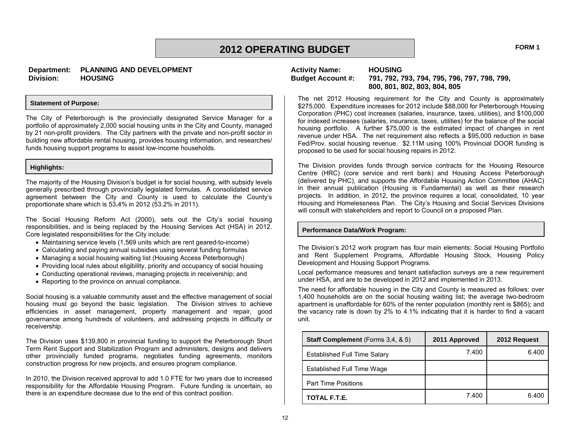### **2012 OPERATING BUDGET FORM 1**

#### **Statement of Purpose:**

The City of Peterborough is the provincially designated Service Manager for a portfolio of approximately 2,000 social housing units in the City and County, managed by 21 non-profit providers. The City partners with the private and non-profit sector in building new affordable rental housing, provides housing information, and researches/ funds housing support programs to assist low-income households.

### **Highlights:**

The majority of the Housing Division's budget is for social housing, with subsidy levels generally prescribed through provincially legislated formulas. A consolidated service agreement between the City and County is used to calculate the County's proportionate share which is 53**.**4% in 2012 (53.2% in 2011).

The Social Housing Reform Act (2000), sets out the City's social housing responsibilities, and is being replaced by the Housing Services Act (HSA) in 2012. Core legislated responsibilities for the City include:

- Maintaining service levels (1,569 units which are rent geared-to-income)
- Calculating and paying annual subsidies using several funding formulas
- Managing a social housing waiting list (Housing Access Peterborough)
- Providing local rules about eligibility, priority and occupancy of social housing
- Conducting operational reviews, managing projects in receivership; and
- Reporting to the province on annual compliance.

Social housing is a valuable community asset and the effective management of social housing must go beyond the basic legislation. The Division strives to achieve efficiencies in asset management, property management and repair, good governance among hundreds of volunteers, and addressing projects in difficulty or receivership.

The Division uses \$139,800 in provincial funding to support the Peterborough Short Term Rent Support and Stabilization Program and administers, designs and delivers other provincially funded programs, negotiates funding agreements, monitors construction progress for new projects, and ensures program compliance.

In 2010, the Division received approval to add 1.0 FTE for two years due to increased responsibility for the Affordable Housing Program. Future funding is uncertain, so there is an expenditure decrease due to the end of this contract position.

## **Activity Name: HOUSING**

### **Budget Account #: 791, 792, 793, 794, 795, 796, 797, 798, 799, 800, 801, 802, 803, 804, 805**

The net 2012 Housing requirement for the City and County is approximately \$275,000. Expenditure increases for 2012 include \$88,000 for Peterborough Housing Corporation (PHC) cost increases (salaries, insurance, taxes, utilities), and \$100,000 for indexed increases (salaries, insurance, taxes, utilities) for the balance of the social housing portfolio. A further \$75,000 is the estimated impact of changes in rent revenue under HSA. The net requirement also reflects a \$95,000 reduction in base Fed/Prov. social housing revenue. \$2.11M using 100% Provincial DOOR funding is proposed to be used for social housing repairs in 2012.

The Division provides funds through service contracts for the Housing Resource Centre (HRC) (core service and rent bank) and Housing Access Peterborough (delivered by PHC), and supports the Affordable Housing Action Committee (AHAC) in their annual publication (Housing is Fundamental) as well as their research projects. In addition, in 2012, the province requires a local, consolidated, 10 year Housing and Homelessness Plan. The City's Housing and Social Services Divisions will consult with stakeholders and report to Council on a proposed Plan.

#### **Performance Data/Work Program:**

The Division's 2012 work program has four main elements: Social Housing Portfolio and Rent Supplement Programs, Affordable Housing Stock, Housing Policy Development and Housing Support Programs.

Local performance measures and tenant satisfaction surveys are a new requirement under HSA, and are to be developed in 2012 and implemented in 2013.

The need for affordable housing in the City and County is measured as follows: over 1,400 households are on the social housing waiting list; the average two-bedroom apartment is unaffordable for 60% of the renter population (monthly rent is \$865); and the vacancy rate is down by 2% to 4.1% indicating that it is harder to find a vacant unit.

| Staff Complement (Forms 3,4, & 5)   | 2011 Approved | 2012 Request |
|-------------------------------------|---------------|--------------|
| <b>Established Full Time Salary</b> | 7.400         | 6.400        |
| Established Full Time Wage          |               |              |
| <b>Part Time Positions</b>          |               |              |
| TOTAL F.T.E.                        | 7.400         | 6.400        |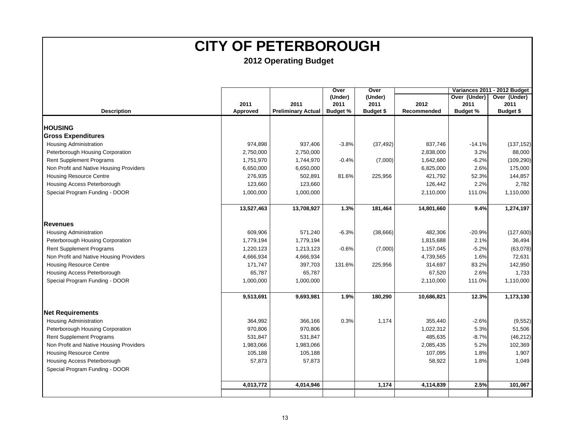|                                         |            |                           | Over            | Over             |             |                 | Variances 2011 - 2012 Budget |  |
|-----------------------------------------|------------|---------------------------|-----------------|------------------|-------------|-----------------|------------------------------|--|
|                                         |            |                           | (Under)         | (Under)          |             | Over (Under)    | Over (Under)                 |  |
|                                         | 2011       | 2011                      | 2011            | 2011             | 2012        | 2011            | 2011                         |  |
| <b>Description</b>                      | Approved   | <b>Preliminary Actual</b> | <b>Budget %</b> | <b>Budget \$</b> | Recommended | <b>Budget %</b> | <b>Budget \$</b>             |  |
| <b>HOUSING</b>                          |            |                           |                 |                  |             |                 |                              |  |
| <b>Gross Expenditures</b>               |            |                           |                 |                  |             |                 |                              |  |
| <b>Housing Administration</b>           | 974,898    | 937,406                   | $-3.8%$         | (37, 492)        | 837,746     | $-14.1%$        | (137, 152)                   |  |
| Peterborough Housing Corporation        | 2,750,000  | 2,750,000                 |                 |                  | 2,838,000   | 3.2%            | 88,000                       |  |
| <b>Rent Supplement Programs</b>         | 1,751,970  | 1,744,970                 | $-0.4%$         | (7,000)          | 1,642,680   | $-6.2%$         | (109, 290)                   |  |
| Non Profit and Native Housing Providers | 6,650,000  | 6,650,000                 |                 |                  | 6,825,000   | 2.6%            | 175,000                      |  |
| <b>Housing Resource Centre</b>          | 276,935    | 502,891                   | 81.6%           | 225,956          | 421,792     | 52.3%           | 144,857                      |  |
| Housing Access Peterborough             | 123,660    | 123,660                   |                 |                  | 126,442     | 2.2%            | 2,782                        |  |
| Special Program Funding - DOOR          | 1,000,000  | 1,000,000                 |                 |                  | 2,110,000   | 111.0%          | 1,110,000                    |  |
|                                         | 13,527,463 | 13,708,927                | 1.3%            | 181,464          | 14,801,660  | 9.4%            | 1,274,197                    |  |
|                                         |            |                           |                 |                  |             |                 |                              |  |
| <b>Revenues</b>                         |            |                           |                 |                  |             |                 |                              |  |
| <b>Housing Administration</b>           | 609,906    | 571,240                   | $-6.3%$         | (38,666)         | 482,306     | $-20.9%$        | (127,600)                    |  |
| Peterborough Housing Corporation        | 1,779,194  | 1,779,194                 |                 |                  | 1,815,688   | 2.1%            | 36,494                       |  |
| <b>Rent Supplement Programs</b>         | 1,220,123  | 1,213,123                 | $-0.6%$         | (7,000)          | 1,157,045   | $-5.2%$         | (63,078)                     |  |
| Non Profit and Native Housing Providers | 4,666,934  | 4,666,934                 |                 |                  | 4,739,565   | 1.6%            | 72,631                       |  |
| <b>Housing Resource Centre</b>          | 171,747    | 397,703                   | 131.6%          | 225,956          | 314,697     | 83.2%           | 142,950                      |  |
| Housing Access Peterborough             | 65,787     | 65,787                    |                 |                  | 67,520      | 2.6%            | 1,733                        |  |
| Special Program Funding - DOOR          | 1,000,000  | 1,000,000                 |                 |                  | 2,110,000   | 111.0%          | 1,110,000                    |  |
|                                         | 9,513,691  | 9,693,981                 | 1.9%            | 180,290          | 10,686,821  | 12.3%           | 1,173,130                    |  |
| <b>Net Requirements</b>                 |            |                           |                 |                  |             |                 |                              |  |
| <b>Housing Administration</b>           | 364,992    | 366,166                   | 0.3%            | 1,174            | 355,440     | $-2.6%$         | (9, 552)                     |  |
| Peterborough Housing Corporation        | 970,806    | 970,806                   |                 |                  | 1,022,312   | 5.3%            | 51,506                       |  |
| <b>Rent Supplement Programs</b>         | 531,847    | 531,847                   |                 |                  | 485,635     | $-8.7%$         | (46, 212)                    |  |
| Non Profit and Native Housing Providers | 1,983,066  | 1,983,066                 |                 |                  | 2,085,435   | 5.2%            | 102,369                      |  |
| <b>Housing Resource Centre</b>          | 105,188    | 105,188                   |                 |                  | 107,095     | 1.8%            | 1,907                        |  |
| Housing Access Peterborough             | 57,873     | 57,873                    |                 |                  | 58,922      | 1.8%            | 1,049                        |  |
| Special Program Funding - DOOR          |            |                           |                 |                  |             |                 |                              |  |
|                                         | 4,013,772  | 4,014,946                 |                 | 1,174            | 4,114,839   | 2.5%            | 101,067                      |  |
|                                         |            |                           |                 |                  |             |                 |                              |  |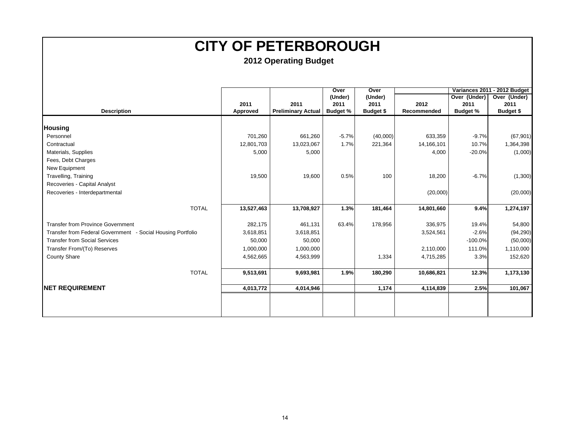|                                                             |            |                           | Over            | Over             |             |                 | Variances 2011 - 2012 Budget |
|-------------------------------------------------------------|------------|---------------------------|-----------------|------------------|-------------|-----------------|------------------------------|
|                                                             |            |                           | (Under)         | (Under)          |             | Over (Under)    | Over (Under)                 |
|                                                             | 2011       | 2011                      | 2011            | 2011             | 2012        | 2011            | 2011                         |
| <b>Description</b>                                          | Approved   | <b>Preliminary Actual</b> | <b>Budget %</b> | <b>Budget \$</b> | Recommended | <b>Budget %</b> | <b>Budget \$</b>             |
|                                                             |            |                           |                 |                  |             |                 |                              |
| <b>Housing</b>                                              |            |                           |                 |                  |             |                 |                              |
| Personnel                                                   | 701,260    | 661,260                   | $-5.7%$         | (40,000)         | 633,359     | $-9.7%$         | (67, 901)                    |
| Contractual                                                 | 12,801,703 | 13,023,067                | 1.7%            | 221,364          | 14,166,101  | 10.7%           | 1,364,398                    |
| Materials, Supplies                                         | 5,000      | 5,000                     |                 |                  | 4,000       | $-20.0%$        | (1,000)                      |
| Fees, Debt Charges                                          |            |                           |                 |                  |             |                 |                              |
| New Equipment                                               |            |                           |                 |                  |             |                 |                              |
| Travelling, Training                                        | 19,500     | 19,600                    | 0.5%            | 100              | 18,200      | $-6.7%$         | (1,300)                      |
| Recoveries - Capital Analyst                                |            |                           |                 |                  |             |                 |                              |
| Recoveries - Interdepartmental                              |            |                           |                 |                  | (20,000)    |                 | (20,000)                     |
|                                                             |            |                           |                 |                  |             |                 |                              |
| <b>TOTAL</b>                                                | 13,527,463 | 13,708,927                | 1.3%            | 181,464          | 14,801,660  | 9.4%            | 1,274,197                    |
|                                                             |            |                           |                 |                  |             |                 |                              |
| <b>Transfer from Province Government</b>                    | 282,175    | 461,131                   | 63.4%           | 178,956          | 336,975     | 19.4%           | 54,800                       |
| Transfer from Federal Government - Social Housing Portfolio | 3,618,851  | 3,618,851                 |                 |                  | 3,524,561   | $-2.6%$         | (94, 290)                    |
| <b>Transfer from Social Services</b>                        | 50,000     | 50,000                    |                 |                  |             | $-100.0%$       | (50,000)                     |
| Transfer From/(To) Reserves                                 | 1,000,000  | 1,000,000                 |                 |                  | 2,110,000   | 111.0%          | 1,110,000                    |
| County Share                                                | 4,562,665  | 4,563,999                 |                 | 1,334            | 4,715,285   | 3.3%            | 152,620                      |
|                                                             |            |                           |                 |                  |             |                 |                              |
| <b>TOTAL</b>                                                | 9,513,691  | 9,693,981                 | 1.9%            | 180,290          | 10,686,821  | 12.3%           | 1,173,130                    |
|                                                             |            |                           |                 |                  |             |                 |                              |
| <b>INET REQUIREMENT</b>                                     | 4,013,772  | 4,014,946                 |                 | 1,174            | 4,114,839   | 2.5%            | 101,067                      |
|                                                             |            |                           |                 |                  |             |                 |                              |
|                                                             |            |                           |                 |                  |             |                 |                              |
|                                                             |            |                           |                 |                  |             |                 |                              |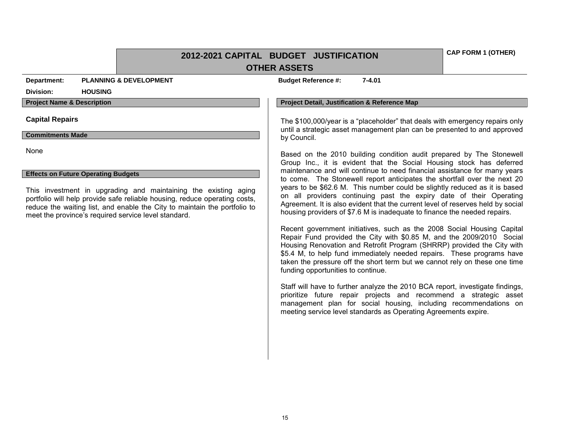**2012-2021 CAPITAL BUDGET JUSTIFICATION OTHER ASSETS**

**Department: PLANNING & DEVELOPMENT Budget Reference #: 7-4.01** 

#### **Division: HOUSING**

#### **Commitments Made**

None

#### **Effects on Future Operating Budgets**

This investment in upgrading and maintaining the existing aging portfolio will help provide safe reliable housing, reduce operating costs, reduce the waiting list, and enable the City to maintain the portfolio to meet the province's required service level standard.

#### **Project Name & Description Project Detail, Justification & Reference Map**

**Capital Repairs** The \$100,000/year is a "placeholder" that deals with emergency repairs only until a strategic asset management plan can be presented to and approved by Council.

> Based on the 2010 building condition audit prepared by The Stonewell Group Inc., it is evident that the Social Housing stock has deferred maintenance and will continue to need financial assistance for many years to come. The Stonewell report anticipates the shortfall over the next 20 years to be \$62.6 M. This number could be slightly reduced as it is based on all providers continuing past the expiry date of their Operating Agreement. It is also evident that the current level of reserves held by social housing providers of \$7.6 M is inadequate to finance the needed repairs.

> Recent government initiatives, such as the 2008 Social Housing Capital Repair Fund provided the City with \$0.85 M, and the 2009/2010 Social Housing Renovation and Retrofit Program (SHRRP) provided the City with \$5.4 M, to help fund immediately needed repairs. These programs have taken the pressure off the short term but we cannot rely on these one time funding opportunities to continue.

> Staff will have to further analyze the 2010 BCA report, investigate findings, prioritize future repair projects and recommend a strategic asset management plan for social housing, including recommendations on meeting service level standards as Operating Agreements expire.

**CAP FORM 1 (OTHER)**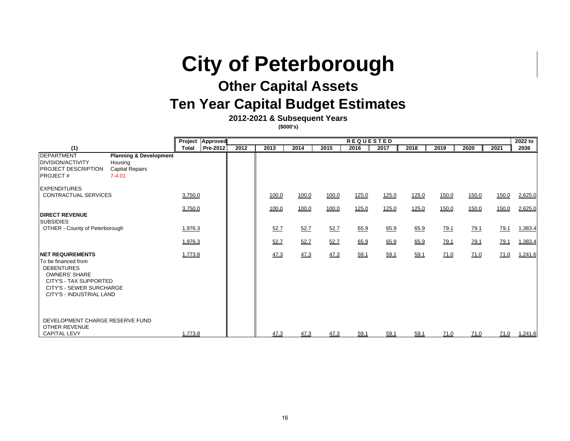# **City of Peterborough**

## **Other Capital Assets**

## **Ten Year Capital Budget Estimates**

**2012-2021 & Subsequent Years**

**(\$000's)**

|                                                                                                                                                                                       |                                                                                      | Project      | <b>Approved</b> | <b>REQUESTED</b> |       |       |       |       |       |       |             |             | 2022 to     |         |
|---------------------------------------------------------------------------------------------------------------------------------------------------------------------------------------|--------------------------------------------------------------------------------------|--------------|-----------------|------------------|-------|-------|-------|-------|-------|-------|-------------|-------------|-------------|---------|
| (1)                                                                                                                                                                                   |                                                                                      | <b>Total</b> | Pre-2012        | 2012             | 2013  | 2014  | 2015  | 2016  | 2017  | 2018  | 2019        | 2020        | 2021        | 2036    |
| <b>DEPARTMENT</b><br><b>DIVISION/ACTIVITY</b><br><b>PROJECT DESCRIPTION</b><br><b>IPROJECT#</b>                                                                                       | <b>Planning &amp; Development</b><br>Housing<br><b>Capital Repairs</b><br>$7 - 4.01$ |              |                 |                  |       |       |       |       |       |       |             |             |             |         |
| <b>IEXPENDITURES</b><br>CONTRACTUAL SERVICES                                                                                                                                          |                                                                                      | 3,750.0      |                 |                  | 100.0 | 100.0 | 100.0 | 125.0 | 125.0 | 125.0 | 150.0       | 150.0       | 150.0       | 2,625.0 |
| <b>DIRECT REVENUE</b><br><b>SUBSIDIES</b>                                                                                                                                             |                                                                                      | 3,750.0      |                 |                  | 100.0 | 100.0 | 100.0 | 125.0 | 125.0 | 125.0 | 150.0       | 150.0       | 150.0       | 2,625.0 |
| OTHER - County of Peterborough                                                                                                                                                        |                                                                                      | 1,976.3      |                 |                  | 52.7  | 52.7  | 52.7  | 65.9  | 65.9  | 65.9  | 79.1        | <u>79.1</u> | 79.1        | 1,383.4 |
|                                                                                                                                                                                       |                                                                                      | 1,976.3      |                 |                  | 52.7  | 52.7  | 52.7  | 65.9  | 65.9  | 65.9  | 79.1        | <u>79.1</u> | 79.1        | 1,383.4 |
| <b>INET REQUIREMENTS</b><br>To be financed from<br><b>DEBENTURES</b><br><b>OWNERS' SHARE</b><br>CITY'S - TAX SUPPORTED<br><b>CITY'S - SEWER SURCHARGE</b><br>CITY'S - INDUSTRIAL LAND |                                                                                      | 1,773.8      |                 |                  | 47.3  | 47.3  | 47.3  | 59.1  | 59.1  | 59.1  | <u>71.0</u> | 71.0        | <u>71.0</u> | 1,241.6 |
| DEVELOPMENT CHARGE RESERVE FUND<br>OTHER REVENUE<br><b>CAPITAL LEVY</b>                                                                                                               |                                                                                      | 1,773.8      |                 |                  | 47.3  | 47.3  | 47.3  | 59.1  | 59.1  | 59.1  | 71.0        | 71.0        | 71.0        | 1,241.6 |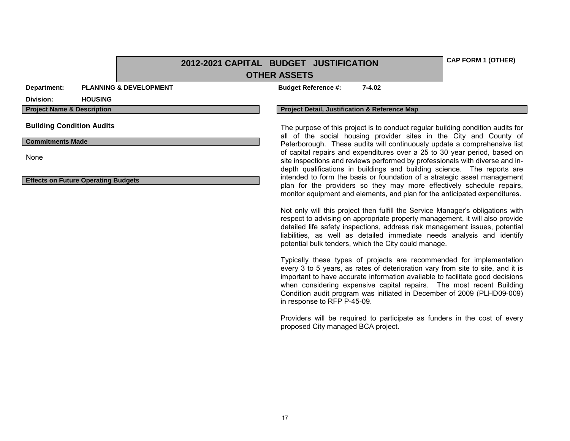|                                                    |                                   | 2012-2021 CAPITAL BUDGET JUSTIFICATION |                                                                                                                                                                                                                                                                                                                                                                                           |                             |                                                                                                                                                                                                                                                                                                                                                                                            | <b>CAP FORM 1 (OTHER)</b> |  |  |  |  |
|----------------------------------------------------|-----------------------------------|----------------------------------------|-------------------------------------------------------------------------------------------------------------------------------------------------------------------------------------------------------------------------------------------------------------------------------------------------------------------------------------------------------------------------------------------|-----------------------------|--------------------------------------------------------------------------------------------------------------------------------------------------------------------------------------------------------------------------------------------------------------------------------------------------------------------------------------------------------------------------------------------|---------------------------|--|--|--|--|
|                                                    |                                   |                                        | <b>OTHER ASSETS</b>                                                                                                                                                                                                                                                                                                                                                                       |                             |                                                                                                                                                                                                                                                                                                                                                                                            |                           |  |  |  |  |
| Department:                                        | <b>PLANNING &amp; DEVELOPMENT</b> |                                        |                                                                                                                                                                                                                                                                                                                                                                                           | <b>Budget Reference #:</b>  | $7 - 4.02$                                                                                                                                                                                                                                                                                                                                                                                 |                           |  |  |  |  |
| Division:                                          | <b>HOUSING</b>                    |                                        |                                                                                                                                                                                                                                                                                                                                                                                           |                             |                                                                                                                                                                                                                                                                                                                                                                                            |                           |  |  |  |  |
| <b>Project Name &amp; Description</b>              |                                   |                                        |                                                                                                                                                                                                                                                                                                                                                                                           |                             | <b>Project Detail, Justification &amp; Reference Map</b>                                                                                                                                                                                                                                                                                                                                   |                           |  |  |  |  |
| <b>Building Condition Audits</b>                   |                                   |                                        |                                                                                                                                                                                                                                                                                                                                                                                           |                             | The purpose of this project is to conduct regular building condition audits for<br>all of the social housing provider sites in the City and County of                                                                                                                                                                                                                                      |                           |  |  |  |  |
| <b>Commitments Made</b>                            |                                   |                                        |                                                                                                                                                                                                                                                                                                                                                                                           |                             | Peterborough. These audits will continuously update a comprehensive list                                                                                                                                                                                                                                                                                                                   |                           |  |  |  |  |
| None<br><b>Effects on Future Operating Budgets</b> |                                   |                                        | of capital repairs and expenditures over a 25 to 30 year period, based on<br>site inspections and reviews performed by professionals with diverse and in-<br>depth qualifications in buildings and building science. The reports are<br>intended to form the basis or foundation of a strategic asset management<br>plan for the providers so they may more effectively schedule repairs, |                             |                                                                                                                                                                                                                                                                                                                                                                                            |                           |  |  |  |  |
|                                                    |                                   |                                        |                                                                                                                                                                                                                                                                                                                                                                                           |                             | monitor equipment and elements, and plan for the anticipated expenditures.                                                                                                                                                                                                                                                                                                                 |                           |  |  |  |  |
|                                                    |                                   |                                        |                                                                                                                                                                                                                                                                                                                                                                                           |                             | Not only will this project then fulfill the Service Manager's obligations with<br>respect to advising on appropriate property management, it will also provide<br>detailed life safety inspections, address risk management issues, potential<br>liabilities, as well as detailed immediate needs analysis and identify<br>potential bulk tenders, which the City could manage.            |                           |  |  |  |  |
|                                                    |                                   |                                        |                                                                                                                                                                                                                                                                                                                                                                                           | in response to RFP P-45-09. | Typically these types of projects are recommended for implementation<br>every 3 to 5 years, as rates of deterioration vary from site to site, and it is<br>important to have accurate information available to facilitate good decisions<br>when considering expensive capital repairs. The most recent Building<br>Condition audit program was initiated in December of 2009 (PLHD09-009) |                           |  |  |  |  |
|                                                    |                                   |                                        |                                                                                                                                                                                                                                                                                                                                                                                           |                             | Providers will be required to participate as funders in the cost of every<br>proposed City managed BCA project.                                                                                                                                                                                                                                                                            |                           |  |  |  |  |
|                                                    |                                   |                                        |                                                                                                                                                                                                                                                                                                                                                                                           |                             |                                                                                                                                                                                                                                                                                                                                                                                            |                           |  |  |  |  |
|                                                    |                                   |                                        |                                                                                                                                                                                                                                                                                                                                                                                           |                             |                                                                                                                                                                                                                                                                                                                                                                                            |                           |  |  |  |  |
|                                                    |                                   |                                        |                                                                                                                                                                                                                                                                                                                                                                                           |                             |                                                                                                                                                                                                                                                                                                                                                                                            |                           |  |  |  |  |
|                                                    |                                   |                                        |                                                                                                                                                                                                                                                                                                                                                                                           |                             |                                                                                                                                                                                                                                                                                                                                                                                            |                           |  |  |  |  |
|                                                    |                                   |                                        |                                                                                                                                                                                                                                                                                                                                                                                           |                             |                                                                                                                                                                                                                                                                                                                                                                                            |                           |  |  |  |  |